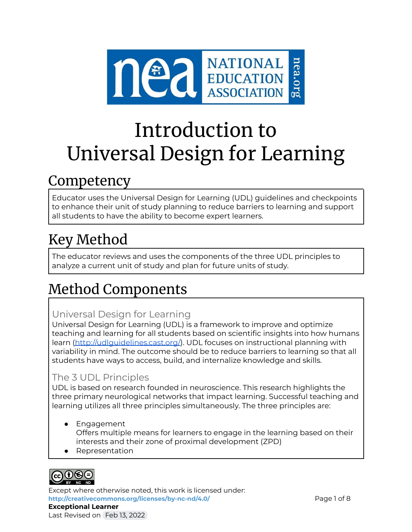

# Introduction to Universal Design for Learning

# Competency

Educator uses the Universal Design for Learning (UDL) guidelines and checkpoints to enhance their unit of study planning to reduce barriers to learning and support all students to have the ability to become expert learners.

# Key Method

The educator reviews and uses the components of the three UDL principles to analyze a current unit of study and plan for future units of study.

# Method Components

# Universal Design for Learning

Universal Design for Learning (UDL) is a framework to improve and optimize teaching and learning for all students based on scientific insights into how humans learn [\(http://udlguidelines.cast.org/](http://udlguidelines.cast.org/)). UDL focuses on instructional planning with variability in mind. The outcome should be to reduce barriers to learning so that all students have ways to access, build, and internalize knowledge and skills.

# The 3 UDL Principles

UDL is based on research founded in neuroscience. This research highlights the three primary neurological networks that impact learning. Successful teaching and learning utilizes all three principles simultaneously. The three principles are:

- Engagement Offers multiple means for learners to engage in the learning based on their interests and their zone of proximal development (ZPD)
- Representation



Except where otherwise noted, this work is licensed under: <http://creativecommons.org/licenses/by-nc-nd/4.0/> **Page 1 of 8 Exceptional Learner** Last Revised on Feb 13, 2022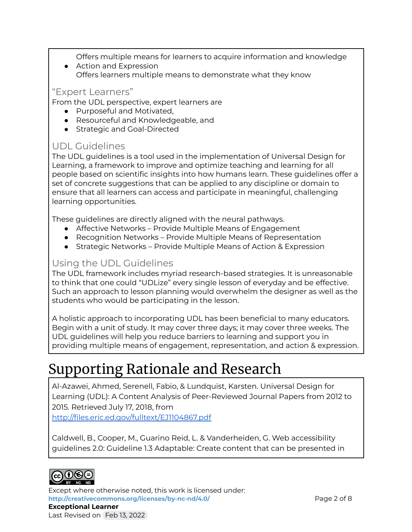Offers multiple means for learners to acquire information and knowledge

● Action and Expression Offers learners multiple means to demonstrate what they know

#### "Expert Learners"

From the UDL perspective, expert learners are

- Purposeful and Motivated,
- Resourceful and Knowledgeable, and
- Strategic and Goal-Directed

## UDL Guidelines

The UDL guidelines is a tool used in the implementation of Universal Design for Learning, a framework to improve and optimize teaching and learning for all people based on scientific insights into how humans learn. These guidelines offer a set of concrete suggestions that can be applied to any discipline or domain to ensure that all learners can access and participate in meaningful, challenging learning opportunities.

These guidelines are directly aligned with the neural pathways.

- Affective Networks Provide Multiple Means of Engagement
- Recognition Networks Provide Multiple Means of Representation
- Strategic Networks Provide Multiple Means of Action & Expression

### Using the UDL Guidelines

The UDL framework includes myriad research-based strategies. It is unreasonable to think that one could "UDLize" every single lesson of everyday and be effective. Such an approach to lesson planning would overwhelm the designer as well as the students who would be participating in the lesson.

A holistic approach to incorporating UDL has been beneficial to many educators. Begin with a unit of study. It may cover three days; it may cover three weeks. The UDL guidelines will help you reduce barriers to learning and support you in providing multiple means of engagement, representation, and action & expression.

# Supporting Rationale and Research

Al-Azawei, Ahmed, Serenell, Fabio, & Lundquist, Karsten. Universal Design for Learning (UDL): A Content Analysis of Peer-Reviewed Journal Papers from 2012 to 2015. Retrieved July 17, 2018, from

<http://files.eric.ed.gov/fulltext/EJ1104867.pdf>

Caldwell, B., Cooper, M., Guarino Reid, L. & Vanderheiden, G. Web accessibility guidelines 2.0: Guideline 1.3 Adaptable: Create content that can be presented in



Except where otherwise noted, this work is licensed under: **<http://creativecommons.org/licenses/by-nc-nd/4.0/>** Page 2 of 8 **Exceptional Learner** Last Revised on Feb 13, 2022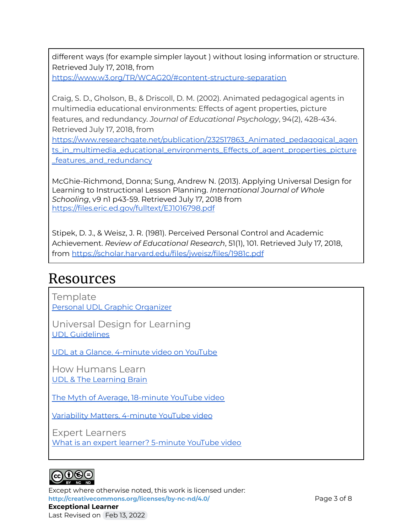different ways (for example simpler layout ) without losing information or structure. Retrieved July 17, 2018, from <https://www.w3.org/TR/WCAG20/#content-structure-separation>

Craig, S. D., Gholson, B., & Driscoll, D. M. (2002). Animated pedagogical agents in multimedia educational environments: Effects of agent properties, picture features, and redundancy. *Journal of Educational Psychology*, 94(2), 428-434. Retrieved July 17, 2018, from

[https://www.researchgate.net/publication/232517863\\_Animated\\_pedagogical\\_agen](https://www.researchgate.net/publication/232517863_Animated_pedagogical_agents_in_multimedia_educational_environments_Effects_of_agent_properties_picture_features_and_redundancy) [ts\\_in\\_multimedia\\_educational\\_environments\\_Effects\\_of\\_agent\\_properties\\_picture](https://www.researchgate.net/publication/232517863_Animated_pedagogical_agents_in_multimedia_educational_environments_Effects_of_agent_properties_picture_features_and_redundancy) [\\_features\\_and\\_redundancy](https://www.researchgate.net/publication/232517863_Animated_pedagogical_agents_in_multimedia_educational_environments_Effects_of_agent_properties_picture_features_and_redundancy)

McGhie-Richmond, Donna; Sung, Andrew N. (2013). Applying Universal Design for Learning to Instructional Lesson Planning. *International Journal of Whole Schooling*, v9 n1 p43-59. Retrieved July 17, 2018 from <https://files.eric.ed.gov/fulltext/EJ1016798.pdf>

Stipek, D. J., & Weisz, J. R. (1981). Perceived Personal Control and Academic Achievement. *Review of Educational Research*, 51(1), 101. Retrieved July 17, 2018, from <https://scholar.harvard.edu/files/jweisz/files/1981c.pdf>

# Resources

**Template** Personal UDL Graphic [Organizer](https://docs.google.com/document/d/1wIupP8CCm5MOnDkeqYp227NZ1nr1telgbhJ2IiW79KY/edit?usp=sharing)

Universal Design for Learning UDL [Guidelines](http://udlguidelines.cast.org)

UDL at a Glance. [4-minute](https://www.youtube.com/watch?v=bDvKnY0g6e4) video on YouTube

How Humans Learn UDL & The [Learning](http://www.cast.org/binaries/content/assets/common/publications/articles/cast-udlandthebrain-20180321.pdf) Brain

The Myth of Average, [18-minute](https://www.youtube.com/watch?v=4eBmyttcfU4) YouTube video

[Variability](https://www.youtube.com/watch?v=2tHyQWZ-EQI) Matters, 4-minute YouTube video

Expert Learners What is an expert learner? [5-minute](https://www.youtube.com/watch?v=8HykYqfn79c) YouTube video



Except where otherwise noted, this work is licensed under: **<http://creativecommons.org/licenses/by-nc-nd/4.0/>** Page 3 of 8 **Exceptional Learner** Last Revised on Feb 13, 2022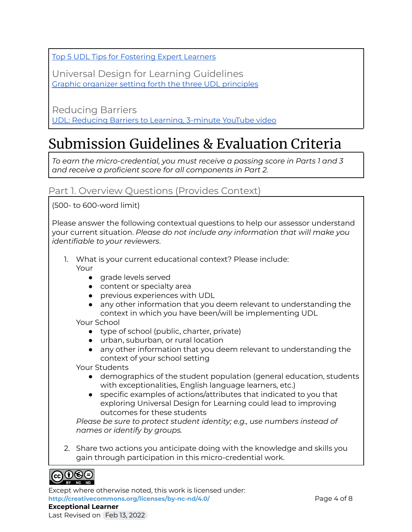Top 5 UDL Tips for [Fostering](http://castprofessionallearning.org/project/top-5-udl-tips-for-fostering-expert-learners/) Expert Learners

Universal Design for Learning Guidelines Graphic organizer setting forth the three UDL [principles](http://udlguidelines.cast.org/?utm_medium=web&utm_campaign=none&utm_source=udlcenter&utm_content=site-banner)

Reducing Barriers UDL: [Reducing](https://www.youtube.com/watch?v=_WDisGLZXtY) Barriers to Learning, 3-minute YouTube video

# Submission Guidelines & Evaluation Criteria

*To earn the micro-credential, you must receive a passing score in Parts 1 and 3 and receive a proficient score for all components in Part 2.*

## Part 1. Overview Questions (Provides Context)

(500- to 600-word limit)

Please answer the following contextual questions to help our assessor understand your current situation. *Please do not include any information that will make you identifiable to your reviewers*.

- 1. What is your current educational context? Please include:
	- Your
		- grade levels served
		- content or specialty area
		- previous experiences with UDL
		- any other information that you deem relevant to understanding the context in which you have been/will be implementing UDL

#### Your School

- type of school (public, charter, private)
- urban, suburban, or rural location
- any other information that you deem relevant to understanding the context of your school setting

Your Students

- demographics of the student population (general education, students with exceptionalities, English language learners, etc.)
- specific examples of actions/attributes that indicated to you that exploring Universal Design for Learning could lead to improving outcomes for these students

*Please be sure to protect student identity; e.g., use numbers instead of names or identify by groups.*

2. Share two actions you anticipate doing with the knowledge and skills you gain through participation in this micro-credential work.



Except where otherwise noted, this work is licensed under: **<http://creativecommons.org/licenses/by-nc-nd/4.0/>** Page 4 of 8 **Exceptional Learner**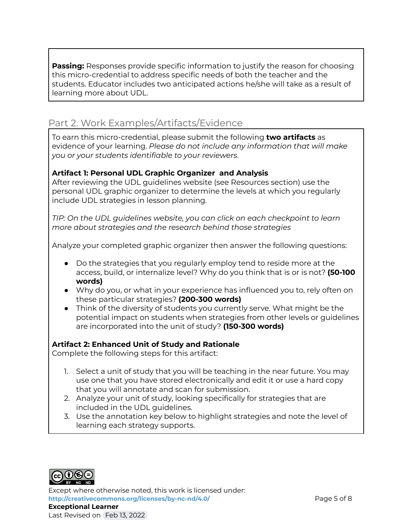**Passing:** Responses provide specific information to justify the reason for choosing this micro-credential to address specific needs of both the teacher and the students. Educator includes two anticipated actions he/she will take as a result of learning more about UDL.

# Part 2. Work Examples/Artifacts/Evidence

To earn this micro-credential, please submit the following **two artifacts** as evidence of your learning. *Please do not include any information that will make you or your students identifiable to your reviewers*.

#### **Artifact 1: Personal UDL Graphic Organizer and Analysis**

After reviewing the UDL guidelines website (see Resources section) use the personal UDL graphic organizer to determine the levels at which you regularly include UDL strategies in lesson planning.

*TIP: On the UDL guidelines website, you can click on each checkpoint to learn more about strategies and the research behind those strategies*

Analyze your completed graphic organizer then answer the following questions:

- Do the strategies that you regularly employ tend to reside more at the access, build, or internalize level? Why do you think that is or is not? **(50-100 words)**
- Why do you, or what in your experience has influenced you to, rely often on these particular strategies? **(200-300 words)**
- Think of the diversity of students you currently serve. What might be the potential impact on students when strategies from other levels or guidelines are incorporated into the unit of study? **(150-300 words)**

#### **Artifact 2: Enhanced Unit of Study and Rationale**

Complete the following steps for this artifact:

- 1. Select a unit of study that you will be teaching in the near future. You may use one that you have stored electronically and edit it or use a hard copy that you will annotate and scan for submission.
- 2. Analyze your unit of study, looking specifically for strategies that are included in the UDL guidelines.
- 3. Use the annotation key below to highlight strategies and note the level of learning each strategy supports.



Except where otherwise noted, this work is licensed under: **<http://creativecommons.org/licenses/by-nc-nd/4.0/>** Page 5 of 8 **Exceptional Learner** Last Revised on Feb 13, 2022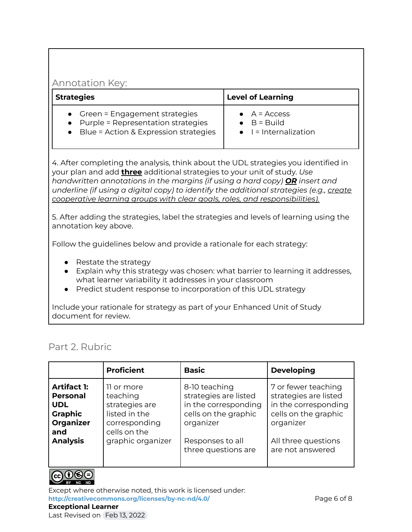#### Annotation Key:

| <b>Strategies</b>                       | <b>Level of Learning</b>                   |  |
|-----------------------------------------|--------------------------------------------|--|
| • Green = Engagement strategies         | $\bullet$ A = Access                       |  |
| • Purple = Representation strategies    | $\bullet$ B = Build                        |  |
| • Blue = Action & Expression strategies | $\bullet$ $\blacksquare$ = Internalization |  |

4. After completing the analysis, think about the UDL strategies you identified in your plan and add **three** additional strategies to your unit of study. *Use handwritten annotations in the margins (if using a hard copy) OR insert and underline (if using a digital copy) to identify the additional strategies (e.g., create cooperative learning groups with clear goals, roles, and responsibilities).*

5. After adding the strategies, label the strategies and levels of learning using the annotation key above.

Follow the guidelines below and provide a rationale for each strategy:

- Restate the strategy
- Explain why this strategy was chosen: what barrier to learning it addresses, what learner variability it addresses in your classroom
- Predict student response to incorporation of this UDL strategy

Include your rationale for strategy as part of your Enhanced Unit of Study document for review.

#### Part 2. Rubric

|                                                                                                              | <b>Proficient</b>                                                                                               | <b>Basic</b>                                                                                                                                   | <b>Developing</b>                                                                                                                                    |
|--------------------------------------------------------------------------------------------------------------|-----------------------------------------------------------------------------------------------------------------|------------------------------------------------------------------------------------------------------------------------------------------------|------------------------------------------------------------------------------------------------------------------------------------------------------|
| <b>Artifact 1:</b><br><b>Personal</b><br><b>UDL</b><br><b>Graphic</b><br>Organizer<br>and<br><b>Analysis</b> | 11 or more<br>teaching<br>strategies are<br>listed in the<br>corresponding<br>cells on the<br>graphic organizer | 8-10 teaching<br>strategies are listed<br>in the corresponding<br>cells on the graphic<br>organizer<br>Responses to all<br>three questions are | 7 or fewer teaching<br>strategies are listed<br>in the corresponding<br>cells on the graphic<br>organizer<br>All three questions<br>are not answered |
|                                                                                                              |                                                                                                                 |                                                                                                                                                |                                                                                                                                                      |



Except where otherwise noted, this work is licensed under: **<http://creativecommons.org/licenses/by-nc-nd/4.0/>** Page 6 of 8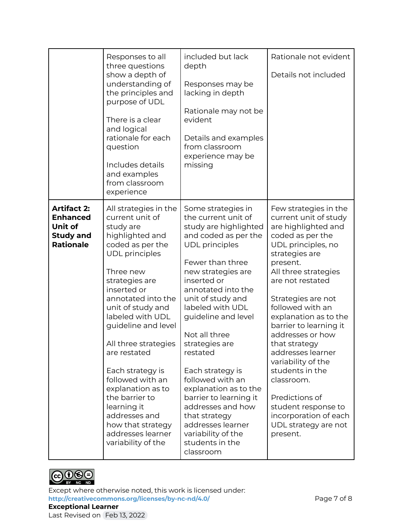|                                                                                          | Responses to all<br>three questions<br>show a depth of<br>understanding of<br>the principles and<br>purpose of UDL<br>There is a clear<br>and logical<br>rationale for each<br>question<br>Includes details<br>and examples<br>from classroom<br>experience                                                                                                                                                                                                                      | included but lack<br>depth<br>Responses may be<br>lacking in depth<br>Rationale may not be<br>evident<br>Details and examples<br>from classroom<br>experience may be<br>missing                                                                                                                                                                                                                                                                                                                                               | Rationale not evident<br>Details not included                                                                                                                                                                                                                                                                                                                                                                                                                                                                 |
|------------------------------------------------------------------------------------------|----------------------------------------------------------------------------------------------------------------------------------------------------------------------------------------------------------------------------------------------------------------------------------------------------------------------------------------------------------------------------------------------------------------------------------------------------------------------------------|-------------------------------------------------------------------------------------------------------------------------------------------------------------------------------------------------------------------------------------------------------------------------------------------------------------------------------------------------------------------------------------------------------------------------------------------------------------------------------------------------------------------------------|---------------------------------------------------------------------------------------------------------------------------------------------------------------------------------------------------------------------------------------------------------------------------------------------------------------------------------------------------------------------------------------------------------------------------------------------------------------------------------------------------------------|
| <b>Artifact 2:</b><br><b>Enhanced</b><br>Unit of<br><b>Study and</b><br><b>Rationale</b> | All strategies in the<br>current unit of<br>study are<br>highlighted and<br>coded as per the<br><b>UDL</b> principles<br>Three new<br>strategies are<br>inserted or<br>annotated into the<br>unit of study and<br>labeled with UDL<br>guideline and level<br>All three strategies<br>are restated<br>Each strategy is<br>followed with an<br>explanation as to<br>the barrier to<br>learning it<br>addresses and<br>how that strategy<br>addresses learner<br>variability of the | Some strategies in<br>the current unit of<br>study are highlighted<br>and coded as per the<br><b>UDL</b> principles<br>Fewer than three<br>new strategies are<br>inserted or<br>annotated into the<br>unit of study and<br>labeled with UDL<br>guideline and level<br>Not all three<br>strategies are<br>restated<br>Each strategy is<br>followed with an<br>explanation as to the<br>barrier to learning it<br>addresses and how<br>that strategy<br>addresses learner<br>variability of the<br>students in the<br>classroom | Few strategies in the<br>current unit of study<br>are highlighted and<br>coded as per the<br>UDL principles, no<br>strategies are<br>present.<br>All three strategies<br>are not restated<br>Strategies are not<br>followed with an<br>explanation as to the<br>barrier to learning it<br>addresses or how<br>that strategy<br>addresses learner<br>variability of the<br>students in the<br>classroom.<br>Predictions of<br>student response to<br>incorporation of each<br>UDL strategy are not<br>present. |



Except where otherwise noted, this work is licensed under: <http://creativecommons.org/licenses/by-nc-nd/4.0/><br>
Page 7 of 8 **Exceptional Learner** Last Revised on Feb 13, 2022